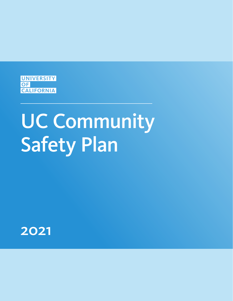

# UC Community Safety Plan

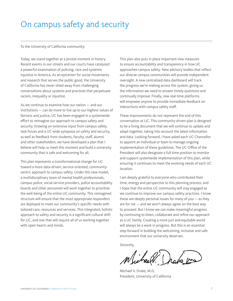## On campus safety and security

To the University of California community:

Today, we stand together at a pivotal moment in history. Recent events in our streets and our courts have catalyzed a powerful examination of policing, race and systemic injustice in America. As an epicenter for social movements and research that serves the public good, the University of California has never shied away from challenging conversations about systems and practices that perpetuate racism, inequality or injustice.

As we continue to examine how our nation — and our institutions — can do more to live up to our highest values of fairness and justice, UC has been engaged in a systemwide effort to reimagine our approach to campus safety and security. Drawing on extensive input from campus safety task forces and a UC-wide symposia on safety and security, as well as feedback from students, faculty, staff, alumni and other stakeholders, we have developed a plan that I believe will help us meet this moment and build a university community that is safe and welcoming for all.

This plan represents a transformational change for UC toward a more data-driven, service-oriented, communitycentric approach to campus safety. Under this new model, a multidisciplinary team of mental health professionals, campus police, social service providers, police accountability boards and other personnel will work together to prioritize the well-being of the entire UC community. This reimagined structure will ensure that the most appropriate responders are deployed to meet our community's specific needs with tailored care, resources and services. This integrated, holistic approach to safety and security is a significant cultural shift for UC, and one that will require all of us working together with open hearts and minds.

This plan also puts in place important new measures to ensure accountability and transparency in how UC approaches campus safety. New advisory bodies that reflect our diverse campus communities will provide independent oversight. A new centralized data dashboard will track the progress we're making across the system, giving us the information we need to answer timely questions and continually improve. Finally, new real-time platforms will empower anyone to provide immediate feedback on interactions with campus safety staff.

These improvements do not represent the end of this conversation at UC. This community-driven plan is designed to be a living document that we will continue to update and adapt together, taking into account the latest information and data. Looking forward, I have asked each UC Chancellor to appoint an individual or team to manage ongoing implementation of these guidelines. The UC Office of the President will also designate a full-time position to monitor and support systemwide implementation of this plan, while ensuring it continues to meet the evolving needs of each UC location.

I am deeply grateful to everyone who contributed their time, energy and perspective to this planning process, and I hope that the entire UC community will stay engaged as we continue to improve our campus safety practices. I know these are deeply personal issues for many of you  $-$  as they are for me — and we won't always agree on the best way to proceed. But I know we can make meaningful progress by continuing to listen, collaborate and refine our approach as a UC family. Creating a more just and equitable world will always be a work in progress. But this is an essential step forward in building the welcoming, inclusive and safe environment that our university deserves.

Sincerely,

Michael V. Drake, M.D. President, University of California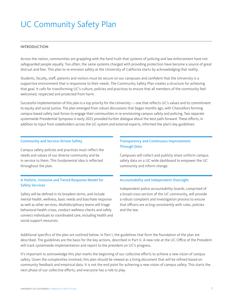# UC Community Safety Plan

#### INTRODUCTION

Across the nation, communities are grappling with the hard truth that systems of policing and law enforcement have not safeguarded people equally. Too often, the same systems charged with providing protection have become a source of great distrust and fear. This plan to re-envision safety at the University of California starts by acknowledging that reality.

Students, faculty, staff, patients and visitors must be secure on our campuses and confident that the University is a supportive environment that is responsive to their needs. The Community Safety Plan creates a structure for achieving that goal. It calls for transforming UC's culture, policies and practices to ensure that all members of the community feel welcomed, respected and protected from harm.

Successful implementation of this plan is a top priority for the University — one that reflects UC's values and its commitment to equity and social justice. The plan emerged from robust discussions that began months ago, with Chancellors forming campus-based safety task forces to engage their communities in re-envisioning campus safety and policing. Two separate systemwide Presidential Symposia in early 2021 provided further dialogue about the best path forward. These efforts, in addition to input from stakeholders across the UC system and external experts, informed the plan's key guidelines:

#### Community and Service-Driven Safety

Campus safety policies and practices must reflect the needs and values of our diverse community and be in service to them. This fundamental idea is reflected throughout the plan.

#### A Holistic, Inclusive and Tiered Response Model for Safety Services

Safety will be defined in its broadest terms, and include mental health, wellness, basic needs and bias/hate response as well as other services. Multidisciplinary teams will triage behavioral health crises, conduct wellness checks and safely connect individuals to coordinated care, including health and social support resources.

#### Transparency and Continuous Improvement Through Data

Campuses will collect and publicly share uniform campus safety data on a UC-wide dashboard to empower the UC community and inform change.

#### Accountability and Independent Oversight

Independent police accountability boards, comprised of a broad cross-section of the UC community, will provide a robust complaint and investigation process to ensure that officers are acting consistently with rules, policies and the law.

Additional specifics of the plan are outlined below. In Part I, the guidelines that form the foundation of the plan are described. The guidelines are the basis for the key actions, described in Part II. A new role at the UC Office of the President will track systemwide implementation and report to the president on UC's progress.

It's important to acknowledge this plan marks the beginning of our collective efforts to achieve a new vision of campus safety. Given the complexities involved, this plan should be viewed as a living document that will be refined based on community feedback and empirical data. It is not the end point for achieving a new vision of campus safety. This starts the next phase of our collective efforts, and everyone has a role to play.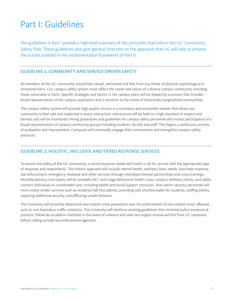# Part I: Guidelines

The guidelines in Part I provide a high-level summary of the principles that inform the UC Community Safety Plan. These guidelines also give general direction on the approach that UC will take to achieve the actions outlined in the implementation framework of Part II.

#### GUIDELINE 1: COMMUNITY AND SERVICE-DRIVEN SAFETY

All members of the UC community should feel valued, welcomed and free from any threat of physical, psychological or emotional harm. Our campus safety system must reflect the needs and values of a diverse campus community including those vulnerable to harm. Specific strategies and tactics in the campus plans will be shaped by a process that includes broad representation of the campus population and is sensitive to the needs of historically marginalized communities.

The campus safety system will provide high-quality service in a courteous and accessible manner that allows our community to feel safe and respected in every interaction. Interactions will be held to a high standard of respect and fairness and will be monitored. Hiring procedures and guidelines for campus safety personnel will involve participation of a broad representation of campus community groups including students, faculty and staff. This begins a continuous process of evaluation and improvement. Campuses will continually engage their communities and strengthen campus safety practices.

#### GUIDELINE 2: HOLISTIC, INCLUSIVE AND TIERED RESPONSE SERVICES

To ensure the safety of the UC community, a tiered response model will match a call for service with the appropriate type of response and responder(s). This holistic approach will include mental health, wellness, basic needs, bias/hate response, law enforcement, emergency response and other services through interdepartmental partnerships and cross-trainings. Multidisciplinary crisis teams will be available 24/7 and triage behavioral health crises, conduct wellness checks, and safely connect individuals to coordinated care, including health and social support resources. Non-sworn security personnel will more visibly render services such as residence hall foot patrols, providing safe shuttles/walks for students, staffing events requiring additional security, and diffusing unsafe behavior.

The University will prioritize deterrence and violent crime prevention over the enforcement of non-violent minor offenses, such as non-hazardous traffic violations. The University will reinforce existing guidelines that minimize police presence at protests, follow de-escalation methods in the event of violence and seek non-urgent mutual aid first from UC campuses before calling outside law enforcement agencies.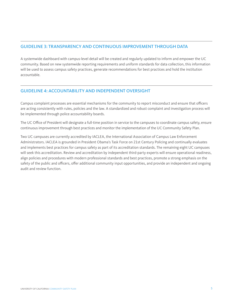#### GUIDELINE 3: TRANSPARENCY AND CONTINUOUS IMPROVEMENT THROUGH DATA

A systemwide dashboard with campus-level detail will be created and regularly updated to inform and empower the UC community. Based on new systemwide reporting requirements and uniform standards for data collection, this information will be used to assess campus safety practices, generate recommendations for best practices and hold the institution accountable.

#### GUIDELINE 4: ACCOUNTABILITY AND INDEPENDENT OVERSIGHT

Campus complaint processes are essential mechanisms for the community to report misconduct and ensure that officers are acting consistently with rules, policies and the law. A standardized and robust complaint and investigation process will be implemented through police accountability boards.

The UC Office of President will designate a full-time position in service to the campuses to coordinate campus safety, ensure continuous improvement through best practices and monitor the implementation of the UC Community Safety Plan.

Two UC campuses are currently accredited by IACLEA, the International Association of Campus Law Enforcement Administrators. IACLEA is grounded in President Obama's Task Force on 21st Century Policing and continually evaluates and implements best practices for campus safety as part of its accreditation standards. The remaining eight UC campuses will seek this accreditation. Review and accreditation by independent third-party experts will ensure operational readiness, align policies and procedures with modern professional standards and best practices, promote a strong emphasis on the safety of the public and officers, offer additional community input opportunities, and provide an independent and ongoing audit and review function.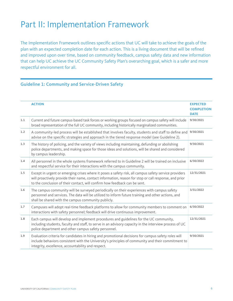# Part II: Implementation Framework

The Implementation Framework outlines specific actions that UC will take to achieve the goals of the plan with an expected completion date for each action. This is a living document that will be refined and improved upon over time, based on community feedback, campus safety data and new information that can help UC achieve the UC Community Safety Plan's overarching goal, which is a safer and more respectful environment for all.

#### Guideline 1: Community and Service-Driven Safety

|     | <b>ACTION</b>                                                                                                                                                                                                                                                                                | <b>EXPECTED</b><br><b>COMPLETION</b><br><b>DATE</b> |
|-----|----------------------------------------------------------------------------------------------------------------------------------------------------------------------------------------------------------------------------------------------------------------------------------------------|-----------------------------------------------------|
| 1.1 | Current and future campus-based task forces or working groups focused on campus safety will include<br>broad representation of the full UC community, including historically marginalized communities.                                                                                       | 9/30/2021                                           |
| 1.2 | A community-led process will be established that involves faculty, students and staff to define and<br>advise on the specific strategies and approach in the tiered response model (see Guideline 2).                                                                                        |                                                     |
| 1.3 | The history of policing, and the variety of views including maintaining, defunding or abolishing<br>police departments, and making space for those ideas and solutions, will be shared and considered<br>by campus leadership.                                                               |                                                     |
| 1.4 | All personnel in the whole systems framework referred to in Guideline 2 will be trained on inclusive<br>and respectful service for their interactions with the campus community.                                                                                                             |                                                     |
| 1.5 | Except in urgent or emerging crises where it poses a safety risk, all campus safety service providers<br>will proactively provide their name, contact information, reason for stop or call response, and prior<br>to the conclusion of their contact, will confirm how feedback can be sent. |                                                     |
| 1.6 | The campus community will be surveyed periodically on their experiences with campus safety<br>personnel and services. The data will be utilized to inform future training and other actions, and<br>shall be shared with the campus community publicly.                                      |                                                     |
| 1.7 | Campuses will adopt real-time feedback platforms to allow for community members to comment on<br>interactions with safety personnel; feedback will drive continuous improvement.                                                                                                             |                                                     |
| 1.8 | Each campus will develop and implement procedures and guidelines for the UC community,<br>including students, faculty and staff, to serve in an advisory capacity in the interview process of UC<br>police department and other campus safety personnel.                                     |                                                     |
| 1.9 | Evaluation criteria for candidates in hiring and promotional decisions for campus safety roles will<br>include behaviors consistent with the University's principles of community and their commitment to<br>integrity, excellence, accountability and respect.                              | 9/30/2021                                           |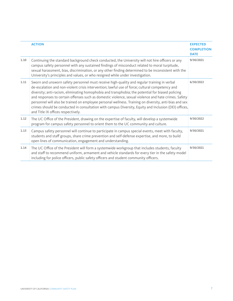|      | <b>ACTION</b>                                                                                                                                                                                                                                                                                                                                                                                                                                                                                                                                                                                                                                                        | <b>EXPECTED</b><br><b>COMPLETION</b><br><b>DATE</b> |
|------|----------------------------------------------------------------------------------------------------------------------------------------------------------------------------------------------------------------------------------------------------------------------------------------------------------------------------------------------------------------------------------------------------------------------------------------------------------------------------------------------------------------------------------------------------------------------------------------------------------------------------------------------------------------------|-----------------------------------------------------|
| 1.10 | Continuing the standard background check conducted, the University will not hire officers or any<br>campus safety personnel with any sustained findings of misconduct related to moral turpitude,<br>sexual harassment, bias, discrimination, or any other finding determined to be inconsistent with the<br>University's principles and values, or who resigned while under investigation.                                                                                                                                                                                                                                                                          | 9/30/2021                                           |
| 1.11 | Sworn and unsworn safety personnel must receive high-quality and regular training in verbal<br>de-escalation and non-violent crisis intervention; lawful use of force; cultural competency and<br>diversity; anti-racism, eliminating homophobia and transphobia; the potential for biased policing<br>and responses to certain offenses such as domestic violence, sexual violence and hate crimes. Safety<br>personnel will also be trained on employee personal wellness. Training on diversity, anti-bias and sex<br>crimes should be conducted in consultation with campus Diversity, Equity and Inclusion (DEI) offices,<br>and Title IX offices respectively. | 6/30/2022                                           |
| 1.12 | The UC Office of the President, drawing on the expertise of faculty, will develop a systemwide<br>program for campus safety personnel to orient them to the UC community and culture.                                                                                                                                                                                                                                                                                                                                                                                                                                                                                | 9/30/2022                                           |
| 1.13 | Campus safety personnel will continue to participate in campus special events, meet with faculty,<br>students and staff groups, share crime prevention and self-defense expertise, and more, to build<br>open lines of communication, engagement and understanding.                                                                                                                                                                                                                                                                                                                                                                                                  | 9/30/2021                                           |
| 1.14 | The UC Office of the President will form a systemwide workgroup that includes students, faculty<br>and staff to recommend uniform, armament and vehicle standards for every tier in the safety model<br>including for police officers, public safety officers and student community officers.                                                                                                                                                                                                                                                                                                                                                                        | 9/30/2021                                           |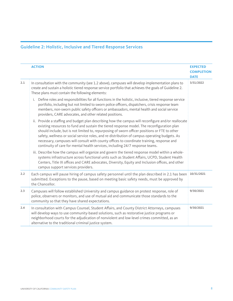## Guideline 2: Holistic, Inclusive and Tiered Response Services

|     | <b>ACTION</b>                                                                                                                                                                                                                                                                                                                                                                                                                                                                                                                                                                     | <b>EXPECTED</b><br><b>COMPLETION</b><br><b>DATE</b> |
|-----|-----------------------------------------------------------------------------------------------------------------------------------------------------------------------------------------------------------------------------------------------------------------------------------------------------------------------------------------------------------------------------------------------------------------------------------------------------------------------------------------------------------------------------------------------------------------------------------|-----------------------------------------------------|
| 2.1 | In consultation with the community (see 1.2 above), campuses will develop implementation plans to<br>create and sustain a holistic tiered response service portfolio that achieves the goals of Guideline 2.<br>These plans must contain the following elements:                                                                                                                                                                                                                                                                                                                  |                                                     |
|     | i. Define roles and responsibilities for all functions in the holistic, inclusive, tiered response service<br>portfolio, including but not limited to sworn police officers, dispatchers, crisis response team<br>members, non-sworn public safety officers or ambassadors, mental health and social service<br>providers, CARE advocates, and other related positions.                                                                                                                                                                                                           |                                                     |
|     | ii. Provide a staffing and budget plan describing how the campus will reconfigure and/or reallocate<br>existing resources to fund and sustain the tiered response model. The reconfiguration plan<br>should include, but is not limited to, repurposing of sworn officer positions or FTE to other<br>safety, wellness or social service roles, and re-distribution of campus operating budgets. As<br>necessary, campuses will consult with county offices to coordinate training, response and<br>continuity of care for mental health services, including 24/7 response teams. |                                                     |
|     | iii. Describe how the campus will organize and govern the tiered response model within a whole-<br>systems infrastructure across functional units such as Student Affairs, UCPD, Student Health<br>Centers, Title IX offices and CARE advocates, Diversity, Equity and Inclusion offices, and other<br>campus support services providers.                                                                                                                                                                                                                                         |                                                     |
| 2.2 | Each campus will pause hiring of campus safety personnel until the plan described in 2.1 has been<br>submitted. Exceptions to the pause, based on meeting basic safety needs, must be approved by<br>the Chancellor.                                                                                                                                                                                                                                                                                                                                                              | 10/31/2021                                          |
| 2.3 | Campuses will follow established University and campus guidance on protest response, role of<br>police, observers or monitors, and use of mutual aid and communicate those standards to the<br>community so that they have shared expectations.                                                                                                                                                                                                                                                                                                                                   | 9/30/2021                                           |
| 2.4 | In consultation with Campus Counsel, Student Affairs, and County District Attorneys, campuses<br>will develop ways to use community-based solutions, such as restorative justice programs or<br>neighborhood courts for the adjudication of nonviolent and low-level crimes committed, as an<br>alternative to the traditional criminal justice system.                                                                                                                                                                                                                           | 9/30/2021                                           |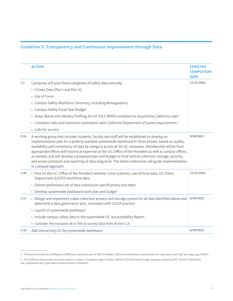### Guideline 3: Transparency and Continuous Improvement through Data

|                  | <b>ACTION</b>                                                                                                                                                                                                                                                                                                                                                                                                                                                                                                                                                                                                                                                     | <b>EXPECTED</b><br><b>COMPLETION</b><br><b>DATE</b> |
|------------------|-------------------------------------------------------------------------------------------------------------------------------------------------------------------------------------------------------------------------------------------------------------------------------------------------------------------------------------------------------------------------------------------------------------------------------------------------------------------------------------------------------------------------------------------------------------------------------------------------------------------------------------------------------------------|-----------------------------------------------------|
| 3.1              | Campuses will post these categories of safety data annually:                                                                                                                                                                                                                                                                                                                                                                                                                                                                                                                                                                                                      | 12/31/2021                                          |
|                  | • Crimes Data (Part I and Part II)                                                                                                                                                                                                                                                                                                                                                                                                                                                                                                                                                                                                                                |                                                     |
|                  | • Use of Force                                                                                                                                                                                                                                                                                                                                                                                                                                                                                                                                                                                                                                                    |                                                     |
|                  | • Campus Safety Workforce Summary, including demographics                                                                                                                                                                                                                                                                                                                                                                                                                                                                                                                                                                                                         |                                                     |
|                  | • Campus Safety Fiscal Year Budget                                                                                                                                                                                                                                                                                                                                                                                                                                                                                                                                                                                                                                |                                                     |
|                  | • Stops (Racial and Identity Profiling Act of 2015 (RIPA) compliant as required by California Law) <sup>1</sup>                                                                                                                                                                                                                                                                                                                                                                                                                                                                                                                                                   |                                                     |
|                  | • Complaint data and resolution (consistent with California Department of Justice requirement) <sup>2</sup>                                                                                                                                                                                                                                                                                                                                                                                                                                                                                                                                                       |                                                     |
|                  | • Calls for service                                                                                                                                                                                                                                                                                                                                                                                                                                                                                                                                                                                                                                               |                                                     |
| 3.2a             | A working group that includes students, faculty and staff will be established to develop an<br>implementation plan for a publicly available systemwide dashboard in three phases, based on quality,<br>availability and consistency of data by category across all 10 UC campuses. Membership will be from<br>appropriate offices with technical expertise at the UC Office of the President as well as campus offices,<br>as needed, and will develop a proposed plan and budget to fund central collection, storage, security,<br>and access protocols and reporting of data long-term. The below milestones will guide implementation<br>in a phased approach. | 9/30/2021                                           |
| 3.2 <sub>b</sub> | • Post on the UC Office of the President website: crime statistics, use of force data, UC Police<br>Department (UCPD) workforce data                                                                                                                                                                                                                                                                                                                                                                                                                                                                                                                              | 12/31/2021                                          |
|                  | • Deliver preliminary set of data submission specifications and dates                                                                                                                                                                                                                                                                                                                                                                                                                                                                                                                                                                                             |                                                     |
|                  | • Develop systemwide dashboard work plan and budget                                                                                                                                                                                                                                                                                                                                                                                                                                                                                                                                                                                                               |                                                     |
| 3.2c             | • Design and implement a data collection process and storage system for all data identified above and<br>determine a data governance plan, consistent with UCOP practice                                                                                                                                                                                                                                                                                                                                                                                                                                                                                          | 6/30/2022                                           |
|                  | • Launch of systemwide dashboard                                                                                                                                                                                                                                                                                                                                                                                                                                                                                                                                                                                                                                  |                                                     |
|                  | • Include campus safety data in the systemwide UC Accountability Report                                                                                                                                                                                                                                                                                                                                                                                                                                                                                                                                                                                           |                                                     |
|                  | • Consider the inclusion of or link to survey data from Action 1.6                                                                                                                                                                                                                                                                                                                                                                                                                                                                                                                                                                                                |                                                     |
| 3.2 <sub>d</sub> | Add interactivity to the systemwide dashboard                                                                                                                                                                                                                                                                                                                                                                                                                                                                                                                                                                                                                     | 6/30/2023                                           |

<sup>1</sup> The Racial and Identity Profiling Act (RIPA) was created as part of AB 953 (Weber, 2016) and establishes requirements for stops data reporting. See: oag.ca.gov/ab953

<sup>2</sup> The California Department of Justice collects Civilians' Complaints Against Peace Officers (CCAPO) data through statutory authority of PC Section 13012(a)(5). See: openjustice.doj.ca.gov/data-stories/civilians-complaints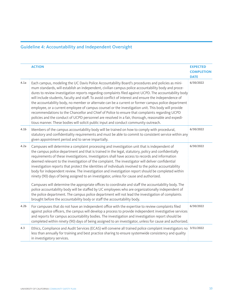## Guideline 4: Accountability and Independent Oversight

|                  | <b>ACTION</b>                                                                                                                                                                                                                                                                                                                                                                                                                                                                                                                                                                                                                                                                                                                                                                                                                                                                                                                               | <b>EXPECTED</b><br><b>COMPLETION</b><br><b>DATE</b> |
|------------------|---------------------------------------------------------------------------------------------------------------------------------------------------------------------------------------------------------------------------------------------------------------------------------------------------------------------------------------------------------------------------------------------------------------------------------------------------------------------------------------------------------------------------------------------------------------------------------------------------------------------------------------------------------------------------------------------------------------------------------------------------------------------------------------------------------------------------------------------------------------------------------------------------------------------------------------------|-----------------------------------------------------|
| 4.1a             | Each campus, modeling the UC Davis Police Accountability Board's procedures and policies as mini-<br>mum standards, will establish an independent, civilian campus police accountability body and proce-<br>dures to review investigation reports regarding complaints filed against UCPD. The accountability body<br>will include students, faculty and staff. To avoid conflict of interest and ensure the independence of<br>the accountability body, no member or alternate can be a current or former campus police department<br>employee, or a current employee of campus counsel or the investigation unit. This body will provide<br>recommendations to the Chancellor and Chief of Police to ensure that complaints regarding UCPD<br>policies and the conduct of UCPD personnel are resolved in a fair, thorough, reasonable and expedi-<br>tious manner. These bodies will solicit public input and conduct community outreach. | 6/30/2022                                           |
| 4.1 <sub>b</sub> | Members of the campus accountability body will be trained on how to comply with procedural,<br>statutory and confidentiality requirements and must be able to commit to consistent service within any<br>given appointment period and to serve impartially.                                                                                                                                                                                                                                                                                                                                                                                                                                                                                                                                                                                                                                                                                 | 6/30/2022                                           |
| 4.2a             | Campuses will determine a complaint processing and investigation unit that is independent of<br>the campus police department and that is trained in the legal, statutory, policy and confidentially<br>requirements of these investigations. Investigators shall have access to records and information<br>deemed relevant to the investigation of the complaint. The investigator will deliver confidential<br>investigation reports that protect the identities of individuals involved to the police accountability<br>body for independent review. The investigation and investigation report should be completed within<br>ninety (90) days of being assigned to an investigator, unless for cause and authorized.                                                                                                                                                                                                                     | 6/30/2022                                           |
|                  | Campuses will determine the appropriate offices to coordinate and staff the accountability body. The<br>police accountability body will be staffed by UC employees who are organizationally independent of<br>the police department. The campus police department will not lead the investigation of complaints<br>brought before the accountability body or staff the accountability body.                                                                                                                                                                                                                                                                                                                                                                                                                                                                                                                                                 |                                                     |
| 4.2 <sub>b</sub> | For campuses that do not have an independent office with the expertise to review complaints filed<br>against police officers, the campus will develop a process to provide independent investigative services<br>and reports for campus accountability bodies. The investigation and investigation report should be<br>completed within ninety (90) days of being assigned to an investigator, unless for cause and authorized.                                                                                                                                                                                                                                                                                                                                                                                                                                                                                                             | 6/30/2022                                           |
| 4.3              | Ethics, Compliance and Audit Services (ECAS) will convene all trained police complaint investigators no 3/31/2022<br>less than annually for training and best practice sharing to ensure systemwide consistency and quality<br>in investigatory services.                                                                                                                                                                                                                                                                                                                                                                                                                                                                                                                                                                                                                                                                                   |                                                     |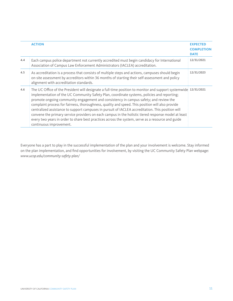|     | <b>ACTION</b>                                                                                                                                                                                                                                                                                                                                                                                                                                                                                                                                                                                                                                                                                                                                           | <b>EXPECTED</b><br><b>COMPLETION</b><br><b>DATE</b> |
|-----|---------------------------------------------------------------------------------------------------------------------------------------------------------------------------------------------------------------------------------------------------------------------------------------------------------------------------------------------------------------------------------------------------------------------------------------------------------------------------------------------------------------------------------------------------------------------------------------------------------------------------------------------------------------------------------------------------------------------------------------------------------|-----------------------------------------------------|
| 4.4 | Each campus police department not currently accredited must begin candidacy for International<br>Association of Campus Law Enforcement Administrators (IACLEA) accreditation.                                                                                                                                                                                                                                                                                                                                                                                                                                                                                                                                                                           | 12/31/2021                                          |
| 4.5 | As accreditation is a process that consists of multiple steps and actions, campuses should begin<br>on-site assessment by accreditors within 36 months of starting their self-assessment and policy<br>alignment with accreditation standards.                                                                                                                                                                                                                                                                                                                                                                                                                                                                                                          | 12/31/2023                                          |
| 4.6 | The UC Office of the President will designate a full-time position to monitor and support systemwide 12/31/2021<br>implementation of the UC Community Safety Plan, coordinate systems, policies and reporting;<br>promote ongoing community engagement and consistency in campus safety; and review the<br>complaint process for fairness, thoroughness, quality and speed. This position will also provide<br>centralized assistance to support campuses in pursuit of IACLEA accreditation. This position will<br>convene the primary service providers on each campus in the holistic tiered response model at least<br>every two years in order to share best practices across the system, serve as a resource and guide<br>continuous improvement. |                                                     |

Everyone has a part to play in the successful implementation of the plan and your involvement is welcome. Stay informed on the plan implementation, and find opportunities for involvement, by visiting the UC Community Safety Plan webpage: *www.ucop.edu/community-safety-plan/*